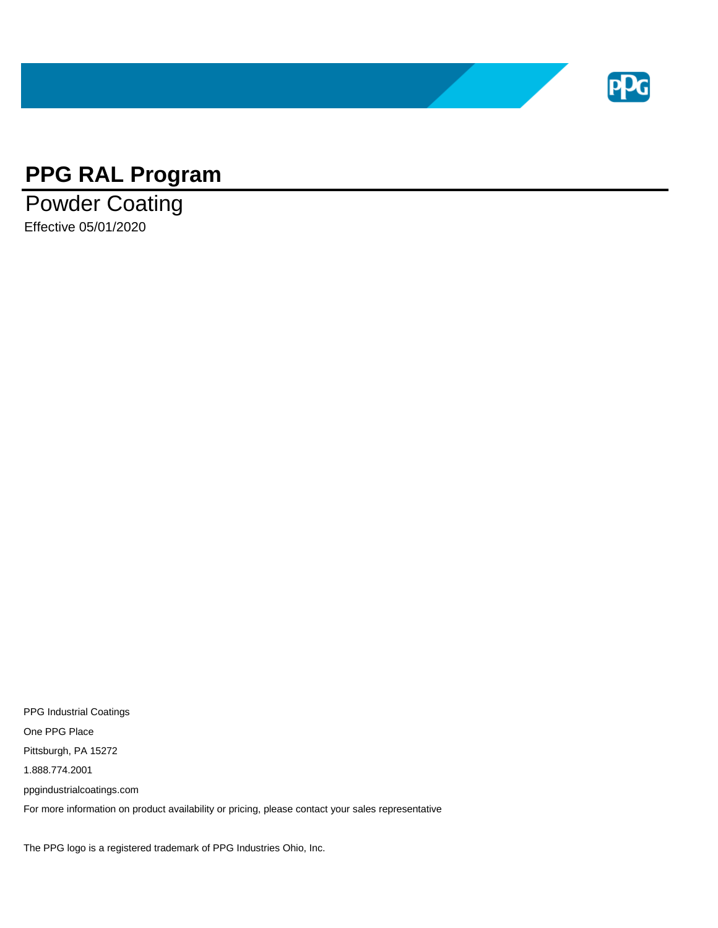

## **PPG RAL Program**

Powder Coating Effective 05/01/2020

PPG Industrial Coatings One PPG Place Pittsburgh, PA 15272 1.888.774.2001 ppgindustrialcoatings.com For more information on product availability or pricing, please contact your sales representative

The PPG logo is a registered trademark of PPG Industries Ohio, Inc.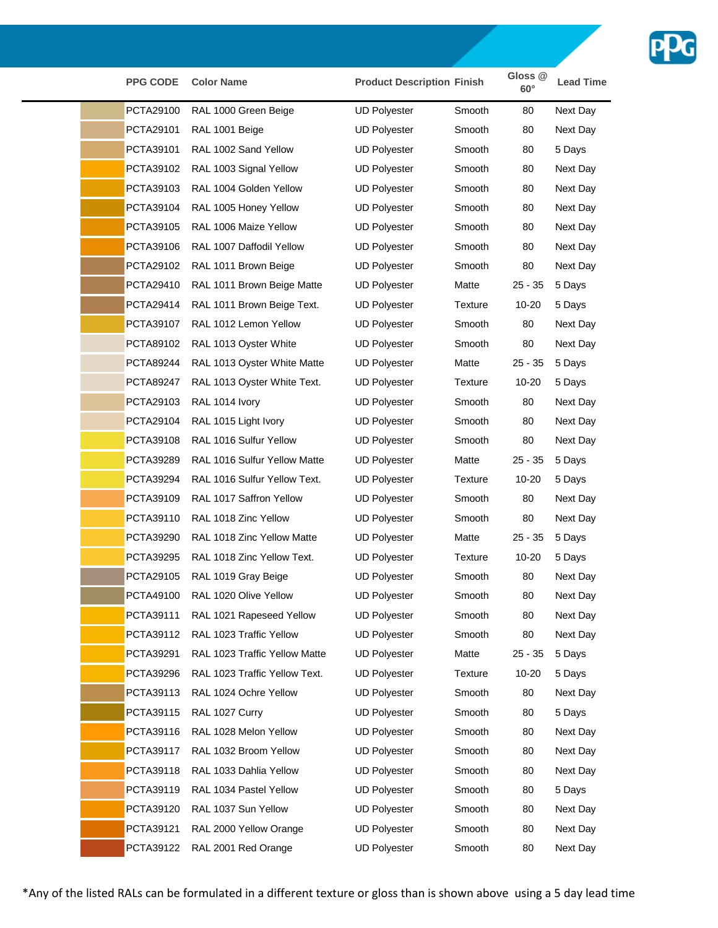

| <b>PPG CODE</b>  | <b>Color Name</b>               | <b>Product Description Finish</b> |                | Gloss <sub>@</sub><br>$60^\circ$ | <b>Lead Time</b> |
|------------------|---------------------------------|-----------------------------------|----------------|----------------------------------|------------------|
| PCTA29100        | RAL 1000 Green Beige            | <b>UD Polyester</b>               | Smooth         | 80                               | Next Day         |
| PCTA29101        | RAL 1001 Beige                  | <b>UD Polyester</b>               | Smooth         | 80                               | Next Day         |
| PCTA39101        | RAL 1002 Sand Yellow            | <b>UD Polyester</b>               | Smooth         | 80                               | 5 Days           |
| PCTA39102        | RAL 1003 Signal Yellow          | <b>UD Polyester</b>               | Smooth         | 80                               | Next Day         |
| PCTA39103        | RAL 1004 Golden Yellow          | <b>UD Polyester</b>               | Smooth         | 80                               | Next Day         |
| PCTA39104        | RAL 1005 Honey Yellow           | <b>UD Polyester</b>               | Smooth         | 80                               | Next Day         |
| PCTA39105        | RAL 1006 Maize Yellow           | <b>UD Polyester</b>               | Smooth         | 80                               | Next Day         |
| PCTA39106        | RAL 1007 Daffodil Yellow        | <b>UD Polyester</b>               | Smooth         | 80                               | Next Day         |
| PCTA29102        | RAL 1011 Brown Beige            | <b>UD Polyester</b>               | Smooth         | 80                               | Next Day         |
| PCTA29410        | RAL 1011 Brown Beige Matte      | <b>UD Polyester</b>               | Matte          | $25 - 35$                        | 5 Days           |
| PCTA29414        | RAL 1011 Brown Beige Text.      | <b>UD Polyester</b>               | Texture        | 10-20                            | 5 Days           |
| PCTA39107        | RAL 1012 Lemon Yellow           | <b>UD Polyester</b>               | Smooth         | 80                               | Next Day         |
| PCTA89102        | RAL 1013 Oyster White           | <b>UD Polyester</b>               | Smooth         | 80                               | Next Day         |
| PCTA89244        | RAL 1013 Oyster White Matte     | <b>UD Polyester</b>               | Matte          | $25 - 35$                        | 5 Days           |
| <b>PCTA89247</b> | RAL 1013 Oyster White Text.     | <b>UD Polyester</b>               | <b>Texture</b> | $10 - 20$                        | 5 Days           |
| PCTA29103        | RAL 1014 Ivory                  | <b>UD Polyester</b>               | Smooth         | 80                               | Next Day         |
| PCTA29104        | RAL 1015 Light Ivory            | <b>UD Polyester</b>               | Smooth         | 80                               | Next Day         |
| PCTA39108        | RAL 1016 Sulfur Yellow          | <b>UD Polyester</b>               | Smooth         | 80                               | Next Day         |
| PCTA39289        | RAL 1016 Sulfur Yellow Matte    | <b>UD Polyester</b>               | Matte          | $25 - 35$                        | 5 Days           |
| PCTA39294        | RAL 1016 Sulfur Yellow Text.    | <b>UD Polyester</b>               | Texture        | $10 - 20$                        | 5 Days           |
| PCTA39109        | RAL 1017 Saffron Yellow         | <b>UD Polyester</b>               | Smooth         | 80                               | Next Day         |
| PCTA39110        | RAL 1018 Zinc Yellow            | <b>UD Polyester</b>               | Smooth         | 80                               | Next Day         |
| PCTA39290        | RAL 1018 Zinc Yellow Matte      | <b>UD Polyester</b>               | Matte          | $25 - 35$                        | 5 Days           |
| PCTA39295        | RAL 1018 Zinc Yellow Text.      | <b>UD Polyester</b>               | Texture        | 10-20                            | 5 Days           |
| PCTA29105        | RAL 1019 Gray Beige             | <b>UD Polyester</b>               | Smooth         | 80                               | Next Day         |
|                  | PCTA49100 RAL 1020 Olive Yellow | <b>UD Polyester</b>               | Smooth         | 80                               | Next Day         |
| PCTA39111        | RAL 1021 Rapeseed Yellow        | <b>UD Polyester</b>               | Smooth         | 80                               | Next Day         |
| PCTA39112        | RAL 1023 Traffic Yellow         | <b>UD Polyester</b>               | Smooth         | 80                               | Next Day         |
| PCTA39291        | RAL 1023 Traffic Yellow Matte   | <b>UD Polyester</b>               | Matte          | $25 - 35$                        | 5 Days           |
| PCTA39296        | RAL 1023 Traffic Yellow Text.   | <b>UD Polyester</b>               | <b>Texture</b> | 10-20                            | 5 Days           |
| PCTA39113        | RAL 1024 Ochre Yellow           | <b>UD Polyester</b>               | Smooth         | 80                               | Next Day         |
| PCTA39115        | RAL 1027 Curry                  | <b>UD Polyester</b>               | Smooth         | 80                               | 5 Days           |
| PCTA39116        | RAL 1028 Melon Yellow           | <b>UD Polyester</b>               | Smooth         | 80                               | Next Day         |
| PCTA39117        | RAL 1032 Broom Yellow           | <b>UD Polyester</b>               | Smooth         | 80                               | Next Day         |
| PCTA39118        | RAL 1033 Dahlia Yellow          | <b>UD Polyester</b>               | Smooth         | 80                               | Next Day         |
| PCTA39119        | RAL 1034 Pastel Yellow          | <b>UD Polyester</b>               | Smooth         | 80                               | 5 Days           |
| PCTA39120        | RAL 1037 Sun Yellow             | <b>UD Polyester</b>               | Smooth         | 80                               | Next Day         |
| PCTA39121        | RAL 2000 Yellow Orange          | <b>UD Polyester</b>               | Smooth         | 80                               | Next Day         |
| PCTA39122        | RAL 2001 Red Orange             | <b>UD Polyester</b>               | Smooth         | 80                               | Next Day         |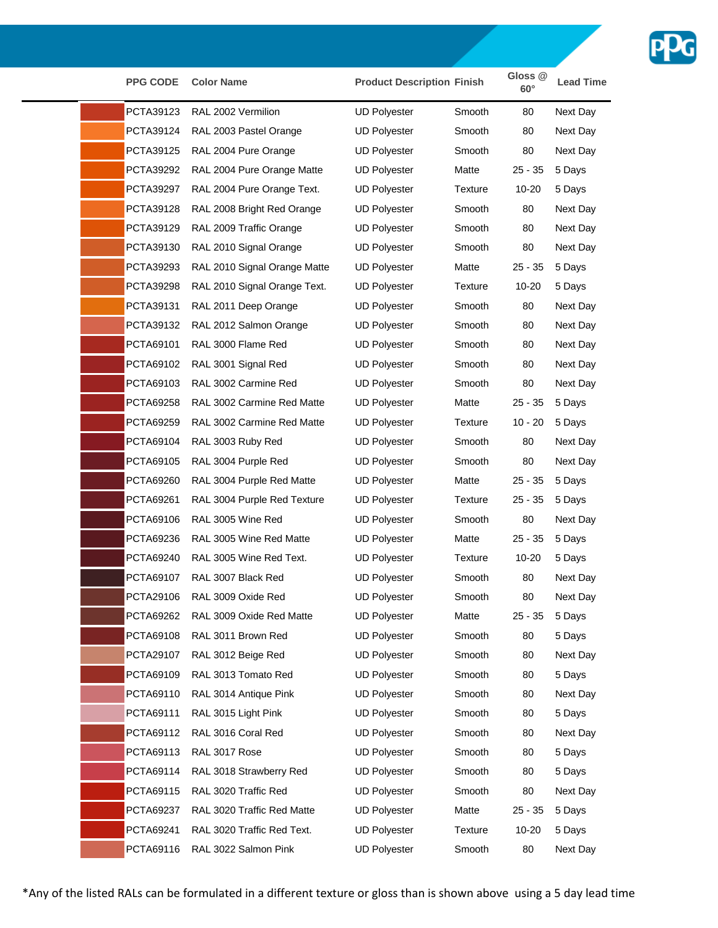

| <b>PPG CODE</b> | <b>Color Name</b>            | <b>Product Description Finish</b> |         | Gloss <sub>@</sub><br>$60^\circ$ | <b>Lead Time</b> |
|-----------------|------------------------------|-----------------------------------|---------|----------------------------------|------------------|
| PCTA39123       | RAL 2002 Vermilion           | <b>UD Polyester</b>               | Smooth  | 80                               | Next Day         |
| PCTA39124       | RAL 2003 Pastel Orange       | <b>UD Polyester</b>               | Smooth  | 80                               | Next Day         |
| PCTA39125       | RAL 2004 Pure Orange         | <b>UD Polyester</b>               | Smooth  | 80                               | Next Day         |
| PCTA39292       | RAL 2004 Pure Orange Matte   | <b>UD Polyester</b>               | Matte   | $25 - 35$                        | 5 Days           |
| PCTA39297       | RAL 2004 Pure Orange Text.   | <b>UD Polyester</b>               | Texture | 10-20                            | 5 Days           |
| PCTA39128       | RAL 2008 Bright Red Orange   | <b>UD Polyester</b>               | Smooth  | 80                               | Next Day         |
| PCTA39129       | RAL 2009 Traffic Orange      | <b>UD Polyester</b>               | Smooth  | 80                               | Next Day         |
| PCTA39130       | RAL 2010 Signal Orange       | <b>UD Polyester</b>               | Smooth  | 80                               | Next Day         |
| PCTA39293       | RAL 2010 Signal Orange Matte | <b>UD Polyester</b>               | Matte   | $25 - 35$                        | 5 Days           |
| PCTA39298       | RAL 2010 Signal Orange Text. | <b>UD Polyester</b>               | Texture | 10-20                            | 5 Days           |
| PCTA39131       | RAL 2011 Deep Orange         | <b>UD Polyester</b>               | Smooth  | 80                               | Next Day         |
| PCTA39132       | RAL 2012 Salmon Orange       | <b>UD Polyester</b>               | Smooth  | 80                               | Next Day         |
| PCTA69101       | RAL 3000 Flame Red           | <b>UD Polyester</b>               | Smooth  | 80                               | Next Day         |
| PCTA69102       | RAL 3001 Signal Red          | <b>UD Polyester</b>               | Smooth  | 80                               | Next Day         |
| PCTA69103       | RAL 3002 Carmine Red         | <b>UD Polyester</b>               | Smooth  | 80                               | Next Day         |
| PCTA69258       | RAL 3002 Carmine Red Matte   | <b>UD Polyester</b>               | Matte   | $25 - 35$                        | 5 Days           |
| PCTA69259       | RAL 3002 Carmine Red Matte   | <b>UD Polyester</b>               | Texture | $10 - 20$                        | 5 Days           |
| PCTA69104       | RAL 3003 Ruby Red            | <b>UD Polyester</b>               | Smooth  | 80                               | Next Day         |
| PCTA69105       | RAL 3004 Purple Red          | <b>UD Polyester</b>               | Smooth  | 80                               | Next Day         |
| PCTA69260       | RAL 3004 Purple Red Matte    | <b>UD Polyester</b>               | Matte   | $25 - 35$                        | 5 Days           |
| PCTA69261       | RAL 3004 Purple Red Texture  | <b>UD Polyester</b>               | Texture | $25 - 35$                        | 5 Days           |
| PCTA69106       | RAL 3005 Wine Red            | <b>UD Polyester</b>               | Smooth  | 80                               | Next Day         |
| PCTA69236       | RAL 3005 Wine Red Matte      | <b>UD Polyester</b>               | Matte   | $25 - 35$                        | 5 Days           |
| PCTA69240       | RAL 3005 Wine Red Text.      | <b>UD Polyester</b>               | Texture | 10-20                            | 5 Days           |
| PCTA69107       | RAL 3007 Black Red           | <b>UD Polyester</b>               | Smooth  | 80                               | Next Day         |
| PCTA29106       | RAL 3009 Oxide Red           | <b>UD Polyester</b>               | Smooth  | 80                               | Next Day         |
| PCTA69262       | RAL 3009 Oxide Red Matte     | UD Polyester                      | Matte   | $25 - 35$                        | 5 Days           |
| PCTA69108       | RAL 3011 Brown Red           | <b>UD Polyester</b>               | Smooth  | 80                               | 5 Days           |
| PCTA29107       | RAL 3012 Beige Red           | <b>UD Polyester</b>               | Smooth  | 80                               | Next Day         |
| PCTA69109       | RAL 3013 Tomato Red          | <b>UD Polyester</b>               | Smooth  | 80                               | 5 Days           |
| PCTA69110       | RAL 3014 Antique Pink        | <b>UD Polyester</b>               | Smooth  | 80                               | Next Day         |
| PCTA69111       | RAL 3015 Light Pink          | <b>UD Polyester</b>               | Smooth  | 80                               | 5 Days           |
| PCTA69112       | RAL 3016 Coral Red           | <b>UD Polyester</b>               | Smooth  | 80                               | Next Day         |
| PCTA69113       | RAL 3017 Rose                | <b>UD Polyester</b>               | Smooth  | 80                               | 5 Days           |
| PCTA69114       | RAL 3018 Strawberry Red      | <b>UD Polyester</b>               | Smooth  | 80                               | 5 Days           |
| PCTA69115       | RAL 3020 Traffic Red         | <b>UD Polyester</b>               | Smooth  | 80                               | Next Day         |
| PCTA69237       | RAL 3020 Traffic Red Matte   | <b>UD Polyester</b>               | Matte   | $25 - 35$                        | 5 Days           |
| PCTA69241       | RAL 3020 Traffic Red Text.   | <b>UD Polyester</b>               | Texture | 10-20                            | 5 Days           |
| PCTA69116       | RAL 3022 Salmon Pink         | <b>UD Polyester</b>               | Smooth  | 80                               | Next Day         |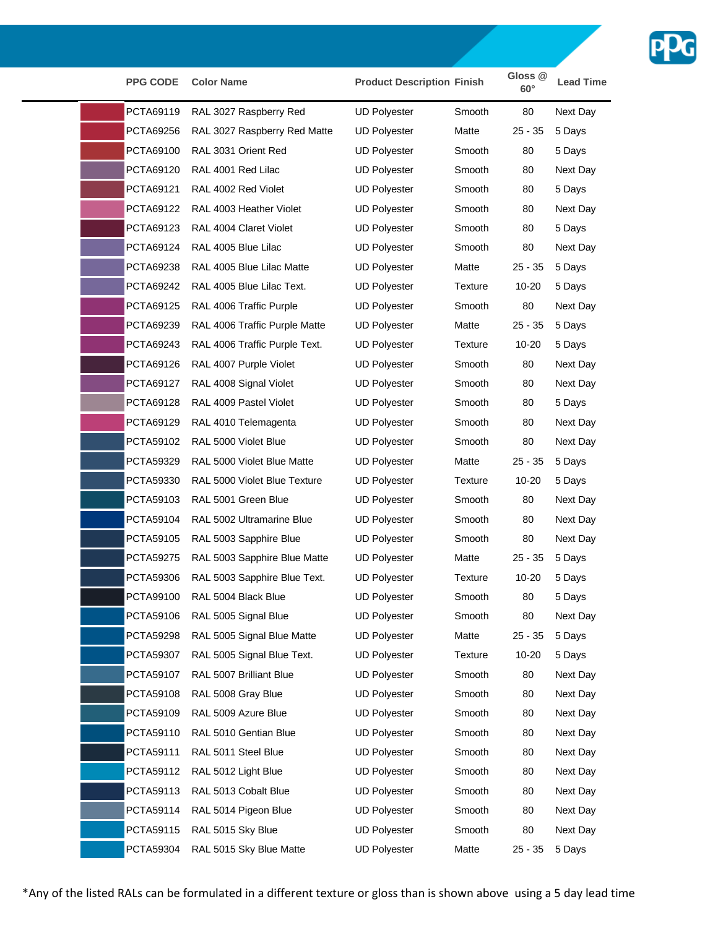

| <b>PPG CODE</b>  | <b>Color Name</b>             | <b>Product Description Finish</b> |         | Gloss <sub>@</sub><br>$60^\circ$ | <b>Lead Time</b> |
|------------------|-------------------------------|-----------------------------------|---------|----------------------------------|------------------|
| PCTA69119        | RAL 3027 Raspberry Red        | <b>UD Polyester</b>               | Smooth  | 80                               | Next Day         |
| PCTA69256        | RAL 3027 Raspberry Red Matte  | <b>UD Polyester</b>               | Matte   | $25 - 35$                        | 5 Days           |
| PCTA69100        | RAL 3031 Orient Red           | <b>UD Polyester</b>               | Smooth  | 80                               | 5 Days           |
| PCTA69120        | RAL 4001 Red Lilac            | <b>UD Polyester</b>               | Smooth  | 80                               | Next Day         |
| PCTA69121        | RAL 4002 Red Violet           | <b>UD Polyester</b>               | Smooth  | 80                               | 5 Days           |
| PCTA69122        | RAL 4003 Heather Violet       | <b>UD Polyester</b>               | Smooth  | 80                               | Next Day         |
| PCTA69123        | RAL 4004 Claret Violet        | <b>UD Polyester</b>               | Smooth  | 80                               | 5 Days           |
| PCTA69124        | RAL 4005 Blue Lilac           | <b>UD Polyester</b>               | Smooth  | 80                               | Next Day         |
| PCTA69238        | RAL 4005 Blue Lilac Matte     | <b>UD Polyester</b>               | Matte   | $25 - 35$                        | 5 Days           |
| PCTA69242        | RAL 4005 Blue Lilac Text.     | UD Polyester                      | Texture | 10-20                            | 5 Days           |
| PCTA69125        | RAL 4006 Traffic Purple       | <b>UD Polyester</b>               | Smooth  | 80                               | Next Day         |
| PCTA69239        | RAL 4006 Traffic Purple Matte | <b>UD Polyester</b>               | Matte   | $25 - 35$                        | 5 Days           |
| PCTA69243        | RAL 4006 Traffic Purple Text. | <b>UD Polyester</b>               | Texture | $10 - 20$                        | 5 Days           |
| PCTA69126        | RAL 4007 Purple Violet        | <b>UD Polyester</b>               | Smooth  | 80                               | Next Day         |
| PCTA69127        | RAL 4008 Signal Violet        | <b>UD Polyester</b>               | Smooth  | 80                               | Next Day         |
| PCTA69128        | RAL 4009 Pastel Violet        | <b>UD Polyester</b>               | Smooth  | 80                               | 5 Days           |
| PCTA69129        | RAL 4010 Telemagenta          | <b>UD Polyester</b>               | Smooth  | 80                               | Next Day         |
| PCTA59102        | RAL 5000 Violet Blue          | <b>UD Polyester</b>               | Smooth  | 80                               | Next Day         |
| PCTA59329        | RAL 5000 Violet Blue Matte    | <b>UD Polyester</b>               | Matte   | $25 - 35$                        | 5 Days           |
| PCTA59330        | RAL 5000 Violet Blue Texture  | <b>UD Polyester</b>               | Texture | 10-20                            | 5 Days           |
| PCTA59103        | RAL 5001 Green Blue           | <b>UD Polyester</b>               | Smooth  | 80                               | Next Day         |
| PCTA59104        | RAL 5002 Ultramarine Blue     | <b>UD Polyester</b>               | Smooth  | 80                               | Next Day         |
| PCTA59105        | RAL 5003 Sapphire Blue        | <b>UD Polyester</b>               | Smooth  | 80                               | Next Day         |
| <b>PCTA59275</b> | RAL 5003 Sapphire Blue Matte  | <b>UD Polyester</b>               | Matte   | $25 - 35$                        | 5 Days           |
| PCTA59306        | RAL 5003 Sapphire Blue Text.  | <b>UD Polyester</b>               | Texture | 10-20                            | 5 Days           |
|                  | PCTA99100 RAL 5004 Black Blue | <b>UD Polyester</b>               | Smooth  | 80                               | 5 Days           |
| PCTA59106        | RAL 5005 Signal Blue          | <b>UD Polyester</b>               | Smooth  | 80                               | Next Day         |
| PCTA59298        | RAL 5005 Signal Blue Matte    | <b>UD Polyester</b>               | Matte   | $25 - 35$                        | 5 Days           |
| PCTA59307        | RAL 5005 Signal Blue Text.    | <b>UD Polyester</b>               | Texture | $10 - 20$                        | 5 Days           |
| PCTA59107        | RAL 5007 Brilliant Blue       | <b>UD Polyester</b>               | Smooth  | 80                               | Next Day         |
| PCTA59108        | RAL 5008 Gray Blue            | <b>UD Polyester</b>               | Smooth  | 80                               | Next Day         |
| PCTA59109        | RAL 5009 Azure Blue           | <b>UD Polyester</b>               | Smooth  | 80                               | Next Day         |
| PCTA59110        | RAL 5010 Gentian Blue         | <b>UD Polyester</b>               | Smooth  | 80                               | Next Day         |
| PCTA59111        | RAL 5011 Steel Blue           | <b>UD Polyester</b>               | Smooth  | 80                               | Next Day         |
| PCTA59112        | RAL 5012 Light Blue           | <b>UD Polyester</b>               | Smooth  | 80                               | Next Day         |
| PCTA59113        | RAL 5013 Cobalt Blue          | <b>UD Polyester</b>               | Smooth  | 80                               | Next Day         |
| PCTA59114        | RAL 5014 Pigeon Blue          | <b>UD Polyester</b>               | Smooth  | 80                               | Next Day         |
| PCTA59115        | RAL 5015 Sky Blue             | <b>UD Polyester</b>               | Smooth  | 80                               | Next Day         |
| PCTA59304        | RAL 5015 Sky Blue Matte       | <b>UD Polyester</b>               | Matte   | $25 - 35$                        | 5 Days           |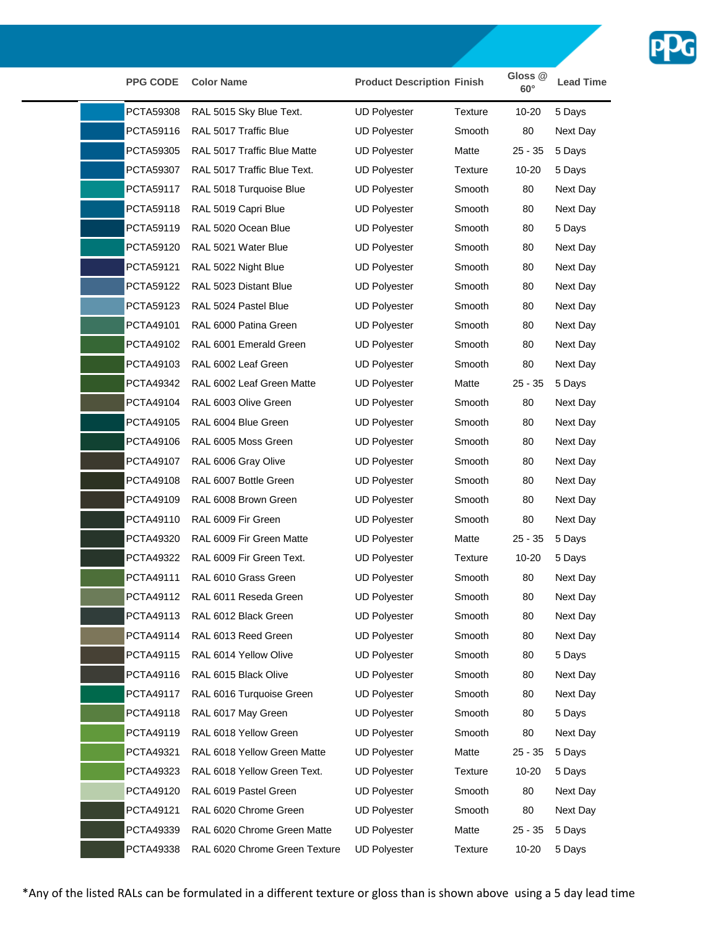

| <b>PPG CODE</b> | <b>Color Name</b>               | <b>Product Description Finish</b> |                | Gloss <sub>@</sub><br>$60^\circ$ | <b>Lead Time</b> |
|-----------------|---------------------------------|-----------------------------------|----------------|----------------------------------|------------------|
| PCTA59308       | RAL 5015 Sky Blue Text.         | <b>UD Polyester</b>               | Texture        | $10 - 20$                        | 5 Days           |
| PCTA59116       | RAL 5017 Traffic Blue           | <b>UD Polyester</b>               | Smooth         | 80                               | Next Day         |
| PCTA59305       | RAL 5017 Traffic Blue Matte     | <b>UD Polyester</b>               | Matte          | 25 - 35                          | 5 Days           |
| PCTA59307       | RAL 5017 Traffic Blue Text.     | <b>UD Polyester</b>               | <b>Texture</b> | 10-20                            | 5 Days           |
| PCTA59117       | RAL 5018 Turquoise Blue         | <b>UD Polyester</b>               | Smooth         | 80                               | Next Day         |
| PCTA59118       | RAL 5019 Capri Blue             | <b>UD Polyester</b>               | Smooth         | 80                               | Next Day         |
| PCTA59119       | RAL 5020 Ocean Blue             | <b>UD Polyester</b>               | Smooth         | 80                               | 5 Days           |
| PCTA59120       | RAL 5021 Water Blue             | <b>UD Polyester</b>               | Smooth         | 80                               | Next Day         |
| PCTA59121       | RAL 5022 Night Blue             | <b>UD Polyester</b>               | Smooth         | 80                               | Next Day         |
| PCTA59122       | RAL 5023 Distant Blue           | <b>UD Polyester</b>               | Smooth         | 80                               | Next Day         |
| PCTA59123       | RAL 5024 Pastel Blue            | <b>UD Polyester</b>               | Smooth         | 80                               | Next Day         |
| PCTA49101       | RAL 6000 Patina Green           | <b>UD Polyester</b>               | Smooth         | 80                               | Next Day         |
| PCTA49102       | RAL 6001 Emerald Green          | <b>UD Polyester</b>               | Smooth         | 80                               | Next Day         |
| PCTA49103       | RAL 6002 Leaf Green             | <b>UD Polyester</b>               | Smooth         | 80                               | Next Day         |
| PCTA49342       | RAL 6002 Leaf Green Matte       | <b>UD Polyester</b>               | Matte          | $25 - 35$                        | 5 Days           |
| PCTA49104       | RAL 6003 Olive Green            | <b>UD Polyester</b>               | Smooth         | 80                               | Next Day         |
| PCTA49105       | RAL 6004 Blue Green             | <b>UD Polyester</b>               | Smooth         | 80                               | Next Day         |
| PCTA49106       | RAL 6005 Moss Green             | <b>UD Polyester</b>               | Smooth         | 80                               | Next Day         |
| PCTA49107       | RAL 6006 Gray Olive             | <b>UD Polyester</b>               | Smooth         | 80                               | Next Day         |
| PCTA49108       | RAL 6007 Bottle Green           | <b>UD Polyester</b>               | Smooth         | 80                               | Next Day         |
| PCTA49109       | RAL 6008 Brown Green            | <b>UD Polyester</b>               | Smooth         | 80                               | Next Day         |
| PCTA49110       | RAL 6009 Fir Green              | <b>UD Polyester</b>               | Smooth         | 80                               | Next Day         |
| PCTA49320       | RAL 6009 Fir Green Matte        | <b>UD Polyester</b>               | Matte          | $25 - 35$                        | 5 Days           |
| PCTA49322       | RAL 6009 Fir Green Text.        | <b>UD Polyester</b>               | Texture        | 10-20                            | 5 Days           |
| PCTA49111       | RAL 6010 Grass Green            | <b>UD Polyester</b>               | Smooth         | 80                               | Next Day         |
|                 | PCTA49112 RAL 6011 Reseda Green | <b>UD Polyester</b>               | Smooth         | 80                               | Next Day         |
| PCTA49113       | RAL 6012 Black Green            | <b>UD Polyester</b>               | Smooth         | 80                               | Next Day         |
| PCTA49114       | RAL 6013 Reed Green             | <b>UD Polyester</b>               | Smooth         | 80                               | Next Day         |
| PCTA49115       | RAL 6014 Yellow Olive           | <b>UD Polyester</b>               | Smooth         | 80                               | 5 Days           |
| PCTA49116       | RAL 6015 Black Olive            | <b>UD Polyester</b>               | Smooth         | 80                               | Next Day         |
| PCTA49117       | RAL 6016 Turquoise Green        | <b>UD Polyester</b>               | Smooth         | 80                               | Next Day         |
| PCTA49118       | RAL 6017 May Green              | <b>UD Polyester</b>               | Smooth         | 80                               | 5 Days           |
| PCTA49119       | RAL 6018 Yellow Green           | <b>UD Polyester</b>               | Smooth         | 80                               | Next Day         |
| PCTA49321       | RAL 6018 Yellow Green Matte     | <b>UD Polyester</b>               | Matte          | $25 - 35$                        | 5 Days           |
| PCTA49323       | RAL 6018 Yellow Green Text.     | <b>UD Polyester</b>               | <b>Texture</b> | $10 - 20$                        | 5 Days           |
| PCTA49120       | RAL 6019 Pastel Green           | <b>UD Polyester</b>               | Smooth         | 80                               | Next Day         |
| PCTA49121       | RAL 6020 Chrome Green           | <b>UD Polyester</b>               | Smooth         | 80                               | Next Day         |
| PCTA49339       | RAL 6020 Chrome Green Matte     | <b>UD Polyester</b>               | Matte          | $25 - 35$                        | 5 Days           |
| PCTA49338       | RAL 6020 Chrome Green Texture   | <b>UD Polyester</b>               | Texture        | 10-20                            | 5 Days           |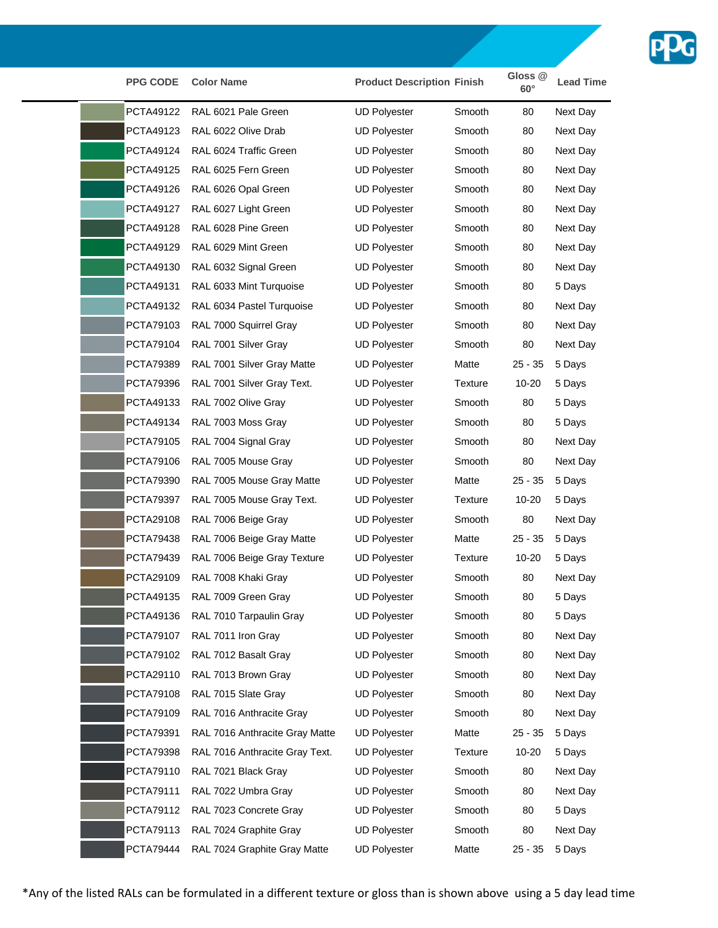

| <b>PPG CODE</b>  | <b>Color Name</b>              | <b>Product Description Finish</b> |                | Gloss <sub>@</sub><br>$60^\circ$ | <b>Lead Time</b> |
|------------------|--------------------------------|-----------------------------------|----------------|----------------------------------|------------------|
| PCTA49122        | RAL 6021 Pale Green            | <b>UD Polyester</b>               | Smooth         | 80                               | Next Day         |
| PCTA49123        | RAL 6022 Olive Drab            | <b>UD Polyester</b>               | Smooth         | 80                               | Next Day         |
| PCTA49124        | RAL 6024 Traffic Green         | <b>UD Polyester</b>               | Smooth         | 80                               | Next Day         |
| PCTA49125        | RAL 6025 Fern Green            | <b>UD Polyester</b>               | Smooth         | 80                               | Next Day         |
| PCTA49126        | RAL 6026 Opal Green            | <b>UD Polyester</b>               | Smooth         | 80                               | Next Day         |
| PCTA49127        | RAL 6027 Light Green           | <b>UD Polyester</b>               | Smooth         | 80                               | Next Day         |
| PCTA49128        | RAL 6028 Pine Green            | <b>UD Polyester</b>               | Smooth         | 80                               | Next Day         |
| PCTA49129        | RAL 6029 Mint Green            | <b>UD Polyester</b>               | Smooth         | 80                               | Next Day         |
| PCTA49130        | RAL 6032 Signal Green          | <b>UD Polyester</b>               | Smooth         | 80                               | Next Day         |
| PCTA49131        | RAL 6033 Mint Turquoise        | <b>UD Polyester</b>               | Smooth         | 80                               | 5 Days           |
| PCTA49132        | RAL 6034 Pastel Turquoise      | <b>UD Polyester</b>               | Smooth         | 80                               | Next Day         |
| PCTA79103        | RAL 7000 Squirrel Gray         | <b>UD Polyester</b>               | Smooth         | 80                               | Next Day         |
| PCTA79104        | RAL 7001 Silver Gray           | <b>UD Polyester</b>               | <b>Smooth</b>  | 80                               | Next Day         |
| <b>PCTA79389</b> | RAL 7001 Silver Gray Matte     | <b>UD Polyester</b>               | Matte          | $25 - 35$                        | 5 Days           |
| <b>PCTA79396</b> | RAL 7001 Silver Gray Text.     | <b>UD Polyester</b>               | Texture        | $10 - 20$                        | 5 Days           |
| PCTA49133        | RAL 7002 Olive Gray            | <b>UD Polyester</b>               | Smooth         | 80                               | 5 Days           |
| PCTA49134        | RAL 7003 Moss Gray             | <b>UD Polyester</b>               | Smooth         | 80                               | 5 Days           |
| PCTA79105        | RAL 7004 Signal Gray           | <b>UD Polyester</b>               | Smooth         | 80                               | Next Day         |
| PCTA79106        | RAL 7005 Mouse Gray            | <b>UD Polyester</b>               | Smooth         | 80                               | Next Day         |
| PCTA79390        | RAL 7005 Mouse Gray Matte      | <b>UD Polyester</b>               | Matte          | $25 - 35$                        | 5 Days           |
| <b>PCTA79397</b> | RAL 7005 Mouse Gray Text.      | <b>UD Polyester</b>               | Texture        | 10-20                            | 5 Days           |
| PCTA29108        | RAL 7006 Beige Gray            | <b>UD Polyester</b>               | Smooth         | 80                               | Next Day         |
| <b>PCTA79438</b> | RAL 7006 Beige Gray Matte      | <b>UD Polyester</b>               | Matte          | $25 - 35$                        | 5 Days           |
| PCTA79439        | RAL 7006 Beige Gray Texture    | <b>UD Polyester</b>               | Texture        | $10 - 20$                        | 5 Days           |
| PCTA29109        | RAL 7008 Khaki Gray            | <b>UD Polyester</b>               | Smooth         | 80                               | Next Day         |
|                  | PCTA49135 RAL 7009 Green Gray  | <b>UD Polyester</b>               | Smooth         | 80                               | 5 Days           |
| PCTA49136        | RAL 7010 Tarpaulin Gray        | <b>UD Polyester</b>               | Smooth         | 80                               | 5 Days           |
| PCTA79107        | RAL 7011 Iron Gray             | <b>UD Polyester</b>               | Smooth         | 80                               | Next Day         |
| PCTA79102        | RAL 7012 Basalt Gray           | <b>UD Polyester</b>               | Smooth         | 80                               | Next Day         |
| PCTA29110        | RAL 7013 Brown Gray            | <b>UD Polyester</b>               | Smooth         | 80                               | Next Day         |
| PCTA79108        | RAL 7015 Slate Gray            | <b>UD Polyester</b>               | Smooth         | 80                               | Next Day         |
| PCTA79109        | RAL 7016 Anthracite Gray       | <b>UD Polyester</b>               | Smooth         | 80                               | Next Day         |
| PCTA79391        | RAL 7016 Anthracite Gray Matte | <b>UD Polyester</b>               | Matte          | $25 - 35$                        | 5 Days           |
| PCTA79398        | RAL 7016 Anthracite Gray Text. | <b>UD Polyester</b>               | <b>Texture</b> | 10-20                            | 5 Days           |
| PCTA79110        | RAL 7021 Black Gray            | <b>UD Polyester</b>               | Smooth         | 80                               | Next Day         |
| PCTA79111        | RAL 7022 Umbra Gray            | <b>UD Polyester</b>               | Smooth         | 80                               | Next Day         |
| PCTA79112        | RAL 7023 Concrete Gray         | <b>UD Polyester</b>               | Smooth         | 80                               | 5 Days           |
| PCTA79113        | RAL 7024 Graphite Gray         | <b>UD Polyester</b>               | Smooth         | 80                               | Next Day         |
| <b>PCTA79444</b> | RAL 7024 Graphite Gray Matte   | <b>UD Polyester</b>               | Matte          | $25 - 35$                        | 5 Days           |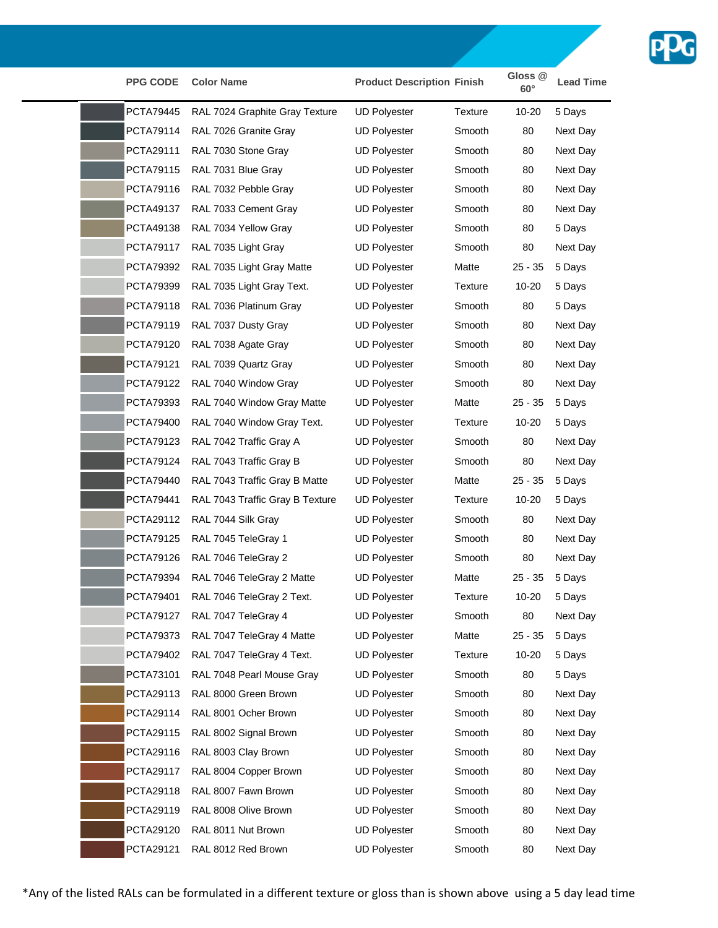

| <b>PPG CODE</b>  | <b>Color Name</b>               | <b>Product Description Finish</b> |         | Gloss <sub>@</sub><br>$60^\circ$ | <b>Lead Time</b> |
|------------------|---------------------------------|-----------------------------------|---------|----------------------------------|------------------|
| PCTA79445        | RAL 7024 Graphite Gray Texture  | <b>UD Polyester</b>               | Texture | $10 - 20$                        | 5 Days           |
| PCTA79114        | RAL 7026 Granite Gray           | <b>UD Polyester</b>               | Smooth  | 80                               | Next Day         |
| PCTA29111        | RAL 7030 Stone Gray             | <b>UD Polyester</b>               | Smooth  | 80                               | Next Day         |
| PCTA79115        | RAL 7031 Blue Gray              | <b>UD Polyester</b>               | Smooth  | 80                               | Next Day         |
| PCTA79116        | RAL 7032 Pebble Gray            | <b>UD Polyester</b>               | Smooth  | 80                               | Next Day         |
| PCTA49137        | RAL 7033 Cement Gray            | <b>UD Polyester</b>               | Smooth  | 80                               | Next Day         |
| PCTA49138        | RAL 7034 Yellow Gray            | <b>UD Polyester</b>               | Smooth  | 80                               | 5 Days           |
| PCTA79117        | RAL 7035 Light Gray             | <b>UD Polyester</b>               | Smooth  | 80                               | Next Day         |
| PCTA79392        | RAL 7035 Light Gray Matte       | <b>UD Polyester</b>               | Matte   | $25 - 35$                        | 5 Days           |
| <b>PCTA79399</b> | RAL 7035 Light Gray Text.       | <b>UD Polyester</b>               | Texture | $10 - 20$                        | 5 Days           |
| PCTA79118        | RAL 7036 Platinum Gray          | <b>UD Polyester</b>               | Smooth  | 80                               | 5 Days           |
| PCTA79119        | RAL 7037 Dusty Gray             | <b>UD Polyester</b>               | Smooth  | 80                               | Next Day         |
| PCTA79120        | RAL 7038 Agate Gray             | <b>UD Polyester</b>               | Smooth  | 80                               | Next Day         |
| PCTA79121        | RAL 7039 Quartz Gray            | <b>UD Polyester</b>               | Smooth  | 80                               | Next Day         |
| PCTA79122        | RAL 7040 Window Gray            | <b>UD Polyester</b>               | Smooth  | 80                               | Next Day         |
| PCTA79393        | RAL 7040 Window Gray Matte      | <b>UD Polyester</b>               | Matte   | $25 - 35$                        | 5 Days           |
| <b>PCTA79400</b> | RAL 7040 Window Gray Text.      | <b>UD Polyester</b>               | Texture | $10 - 20$                        | 5 Days           |
| PCTA79123        | RAL 7042 Traffic Gray A         | <b>UD Polyester</b>               | Smooth  | 80                               | Next Day         |
| PCTA79124        | RAL 7043 Traffic Gray B         | <b>UD Polyester</b>               | Smooth  | 80                               | Next Day         |
| PCTA79440        | RAL 7043 Traffic Gray B Matte   | <b>UD Polyester</b>               | Matte   | $25 - 35$                        | 5 Days           |
| PCTA79441        | RAL 7043 Traffic Gray B Texture | <b>UD Polyester</b>               | Texture | 10-20                            | 5 Days           |
| PCTA29112        | RAL 7044 Silk Gray              | <b>UD Polyester</b>               | Smooth  | 80                               | Next Day         |
| PCTA79125        | RAL 7045 TeleGray 1             | <b>UD Polyester</b>               | Smooth  | 80                               | Next Day         |
| <b>PCTA79126</b> | RAL 7046 TeleGray 2             | <b>UD Polyester</b>               | Smooth  | 80                               | Next Day         |
| <b>PCTA79394</b> | RAL 7046 TeleGray 2 Matte       | <b>UD Polyester</b>               | Matte   | $25 - 35$                        | 5 Days           |
| PCTA79401        | RAL 7046 TeleGray 2 Text.       | <b>UD Polyester</b>               | Texture | 10-20                            | 5 Days           |
| PCTA79127        | RAL 7047 TeleGray 4             | UD Polyester                      | Smooth  | 80                               | Next Day         |
| <b>PCTA79373</b> | RAL 7047 TeleGray 4 Matte       | <b>UD Polyester</b>               | Matte   | $25 - 35$                        | 5 Days           |
| PCTA79402        | RAL 7047 TeleGray 4 Text.       | <b>UD Polyester</b>               | Texture | $10 - 20$                        | 5 Days           |
| PCTA73101        | RAL 7048 Pearl Mouse Gray       | <b>UD Polyester</b>               | Smooth  | 80                               | 5 Days           |
| PCTA29113        | RAL 8000 Green Brown            | <b>UD Polyester</b>               | Smooth  | 80                               | Next Day         |
| PCTA29114        | RAL 8001 Ocher Brown            | <b>UD Polyester</b>               | Smooth  | 80                               | Next Day         |
| PCTA29115        | RAL 8002 Signal Brown           | <b>UD Polyester</b>               | Smooth  | 80                               | Next Day         |
| PCTA29116        | RAL 8003 Clay Brown             | <b>UD Polyester</b>               | Smooth  | 80                               | Next Day         |
| PCTA29117        | RAL 8004 Copper Brown           | <b>UD Polyester</b>               | Smooth  | 80                               | Next Day         |
| PCTA29118        | RAL 8007 Fawn Brown             | <b>UD Polyester</b>               | Smooth  | 80                               | Next Day         |
| PCTA29119        | RAL 8008 Olive Brown            | <b>UD Polyester</b>               | Smooth  | 80                               | Next Day         |
| PCTA29120        | RAL 8011 Nut Brown              | <b>UD Polyester</b>               | Smooth  | 80                               | Next Day         |
| PCTA29121        | RAL 8012 Red Brown              | <b>UD Polyester</b>               | Smooth  | 80                               | Next Day         |